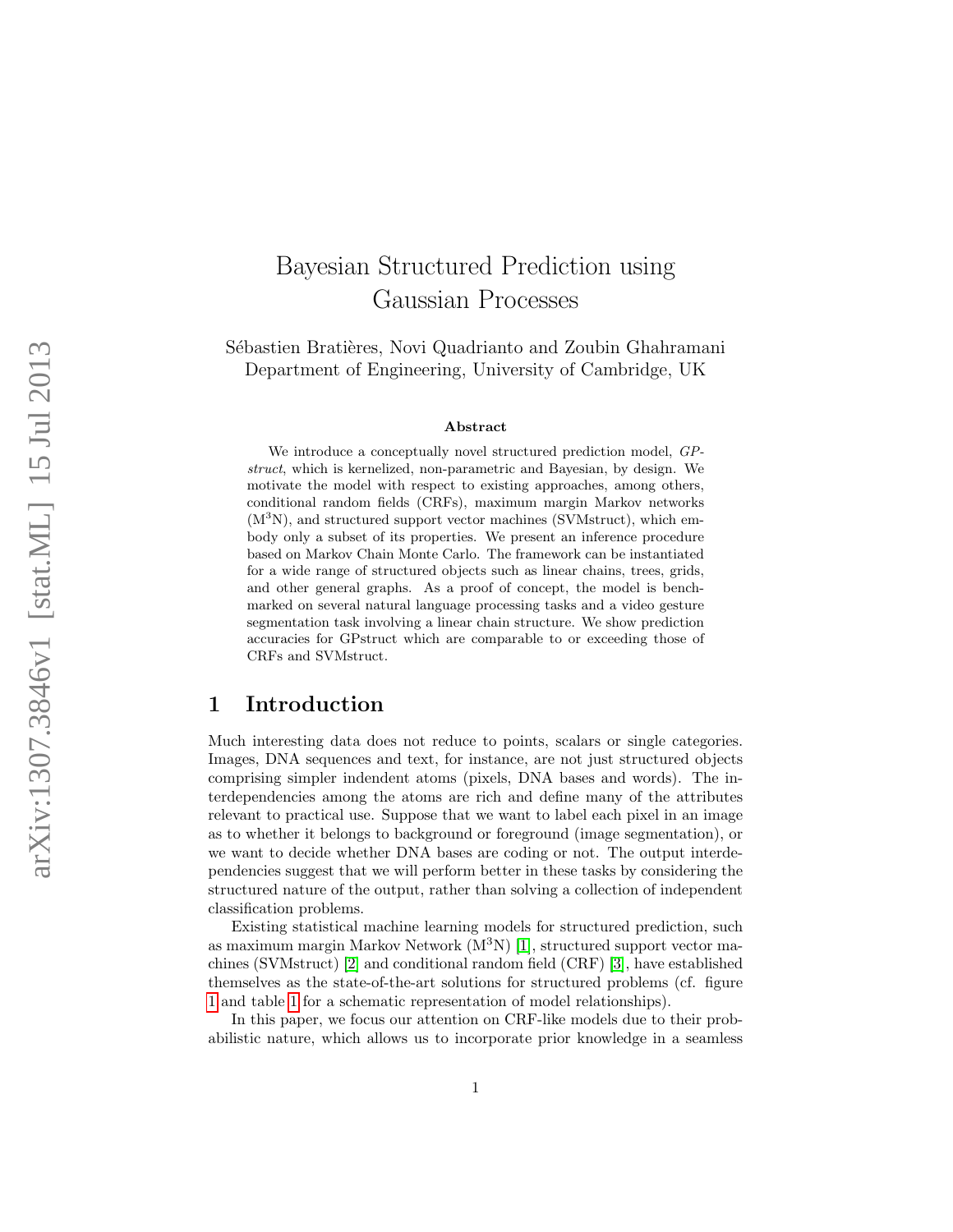# Bayesian Structured Prediction using Gaussian Processes

Sébastien Bratières, Novi Quadrianto and Zoubin Ghahramani Department of Engineering, University of Cambridge, UK

#### Abstract

We introduce a conceptually novel structured prediction model, GPstruct, which is kernelized, non-parametric and Bayesian, by design. We motivate the model with respect to existing approaches, among others, conditional random fields (CRFs), maximum margin Markov networks (M <sup>3</sup>N), and structured support vector machines (SVMstruct), which embody only a subset of its properties. We present an inference procedure based on Markov Chain Monte Carlo. The framework can be instantiated for a wide range of structured objects such as linear chains, trees, grids, and other general graphs. As a proof of concept, the model is benchmarked on several natural language processing tasks and a video gesture segmentation task involving a linear chain structure. We show prediction accuracies for GPstruct which are comparable to or exceeding those of CRFs and SVMstruct.

## 1 Introduction

Much interesting data does not reduce to points, scalars or single categories. Images, DNA sequences and text, for instance, are not just structured objects comprising simpler indendent atoms (pixels, DNA bases and words). The interdependencies among the atoms are rich and define many of the attributes relevant to practical use. Suppose that we want to label each pixel in an image as to whether it belongs to background or foreground (image segmentation), or we want to decide whether DNA bases are coding or not. The output interdependencies suggest that we will perform better in these tasks by considering the structured nature of the output, rather than solving a collection of independent classification problems.

Existing statistical machine learning models for structured prediction, such as maximum margin Markov Network  $(M^3N)$  [\[1\]](#page-15-0), structured support vector machines (SVMstruct) [\[2\]](#page-15-1) and conditional random field (CRF) [\[3\]](#page-15-2), have established themselves as the state-of-the-art solutions for structured problems (cf. figure [1](#page-1-0) and table [1](#page-1-1) for a schematic representation of model relationships).

In this paper, we focus our attention on CRF-like models due to their probabilistic nature, which allows us to incorporate prior knowledge in a seamless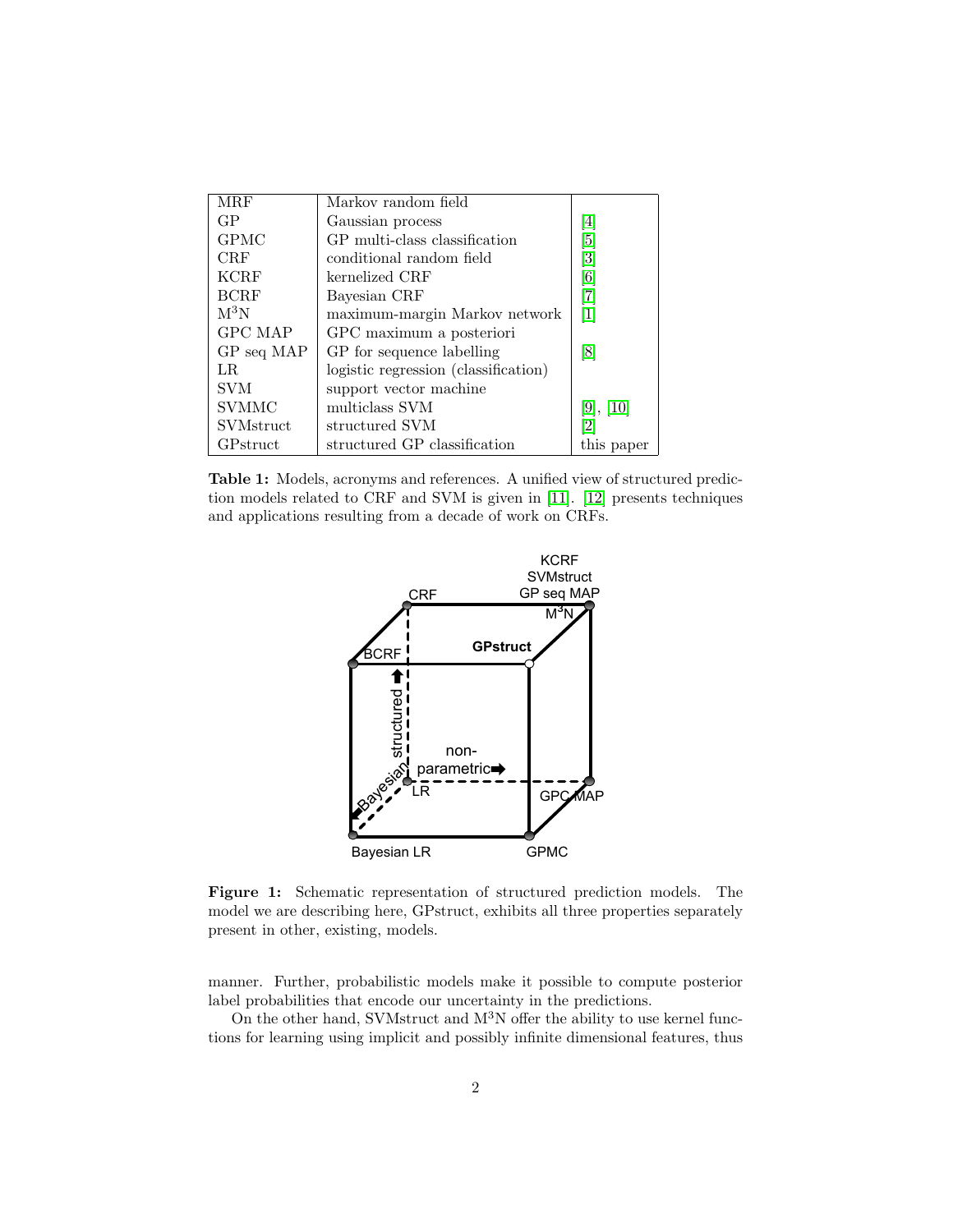<span id="page-1-1"></span>

| MRF              | Markov random field                  |                   |
|------------------|--------------------------------------|-------------------|
| GP               | Gaussian process                     | $\vert 4 \vert$   |
| <b>GPMC</b>      | GP multi-class classification        | $\overline{5}$    |
| <b>CRF</b>       | conditional random field             | $\left[ 3\right]$ |
| <b>KCRF</b>      | kernelized CRF                       | 6                 |
| <b>BCRF</b>      | Bayesian CRF                         | 7                 |
| $M^3N$           | maximum-margin Markov network        | 1                 |
| GPC MAP          | GPC maximum a posteriori             |                   |
| GP seq MAP       | GP for sequence labelling            | [8]               |
| LR.              | logistic regression (classification) |                   |
| <b>SVM</b>       | support vector machine               |                   |
| SVMMC            | multiclass SVM                       | [9], [10]         |
| <b>SVMstruct</b> | structured SVM                       | $\overline{2}$    |
| GPstruct         | structured GP classification         | this paper        |

<span id="page-1-0"></span>Table 1: Models, acronyms and references. A unified view of structured prediction models related to CRF and SVM is given in [\[11\]](#page-16-0). [\[12\]](#page-16-1) presents techniques and applications resulting from a decade of work on CRFs.



Figure 1: Schematic representation of structured prediction models. The model we are describing here, GPstruct, exhibits all three properties separately present in other, existing, models.

manner. Further, probabilistic models make it possible to compute posterior label probabilities that encode our uncertainty in the predictions.

On the other hand, SVMstruct and  $M^{3}N$  offer the ability to use kernel functions for learning using implicit and possibly infinite dimensional features, thus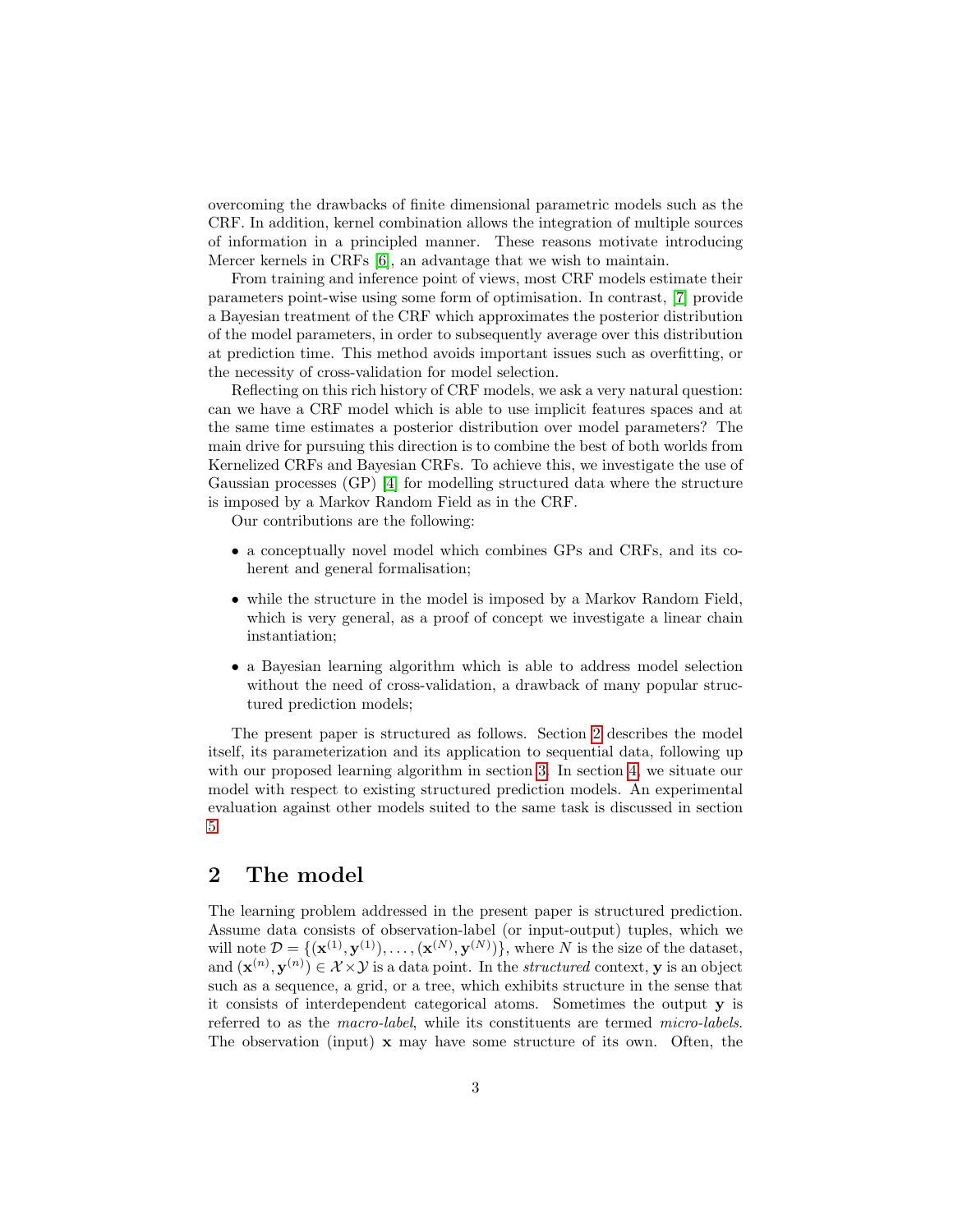overcoming the drawbacks of finite dimensional parametric models such as the CRF. In addition, kernel combination allows the integration of multiple sources of information in a principled manner. These reasons motivate introducing Mercer kernels in CRFs [\[6\]](#page-15-5), an advantage that we wish to maintain.

From training and inference point of views, most CRF models estimate their parameters point-wise using some form of optimisation. In contrast, [\[7\]](#page-15-6) provide a Bayesian treatment of the CRF which approximates the posterior distribution of the model parameters, in order to subsequently average over this distribution at prediction time. This method avoids important issues such as overfitting, or the necessity of cross-validation for model selection.

Reflecting on this rich history of CRF models, we ask a very natural question: can we have a CRF model which is able to use implicit features spaces and at the same time estimates a posterior distribution over model parameters? The main drive for pursuing this direction is to combine the best of both worlds from Kernelized CRFs and Bayesian CRFs. To achieve this, we investigate the use of Gaussian processes (GP) [\[4\]](#page-15-3) for modelling structured data where the structure is imposed by a Markov Random Field as in the CRF.

Our contributions are the following:

- a conceptually novel model which combines GPs and CRFs, and its coherent and general formalisation;
- while the structure in the model is imposed by a Markov Random Field, which is very general, as a proof of concept we investigate a linear chain instantiation;
- a Bayesian learning algorithm which is able to address model selection without the need of cross-validation, a drawback of many popular structured prediction models;

The present paper is structured as follows. Section [2](#page-2-0) describes the model itself, its parameterization and its application to sequential data, following up with our proposed learning algorithm in section [3.](#page-6-0) In section [4,](#page-7-0) we situate our model with respect to existing structured prediction models. An experimental evaluation against other models suited to the same task is discussed in section [5.](#page-10-0)

# <span id="page-2-0"></span>2 The model

The learning problem addressed in the present paper is structured prediction. Assume data consists of observation-label (or input-output) tuples, which we will note  $\mathcal{D} = \{(\mathbf{x}^{(1)}, \mathbf{y}^{(1)}), \ldots, (\mathbf{x}^{(N)}, \mathbf{y}^{(N)})\},\$  where N is the size of the dataset, and  $(\mathbf{x}^{(n)}, \mathbf{y}^{(n)}) \in \mathcal{X} \times \mathcal{Y}$  is a data point. In the *structured* context, **y** is an object such as a sequence, a grid, or a tree, which exhibits structure in the sense that it consists of interdependent categorical atoms. Sometimes the output y is referred to as the macro-label, while its constituents are termed micro-labels. The observation (input) x may have some structure of its own. Often, the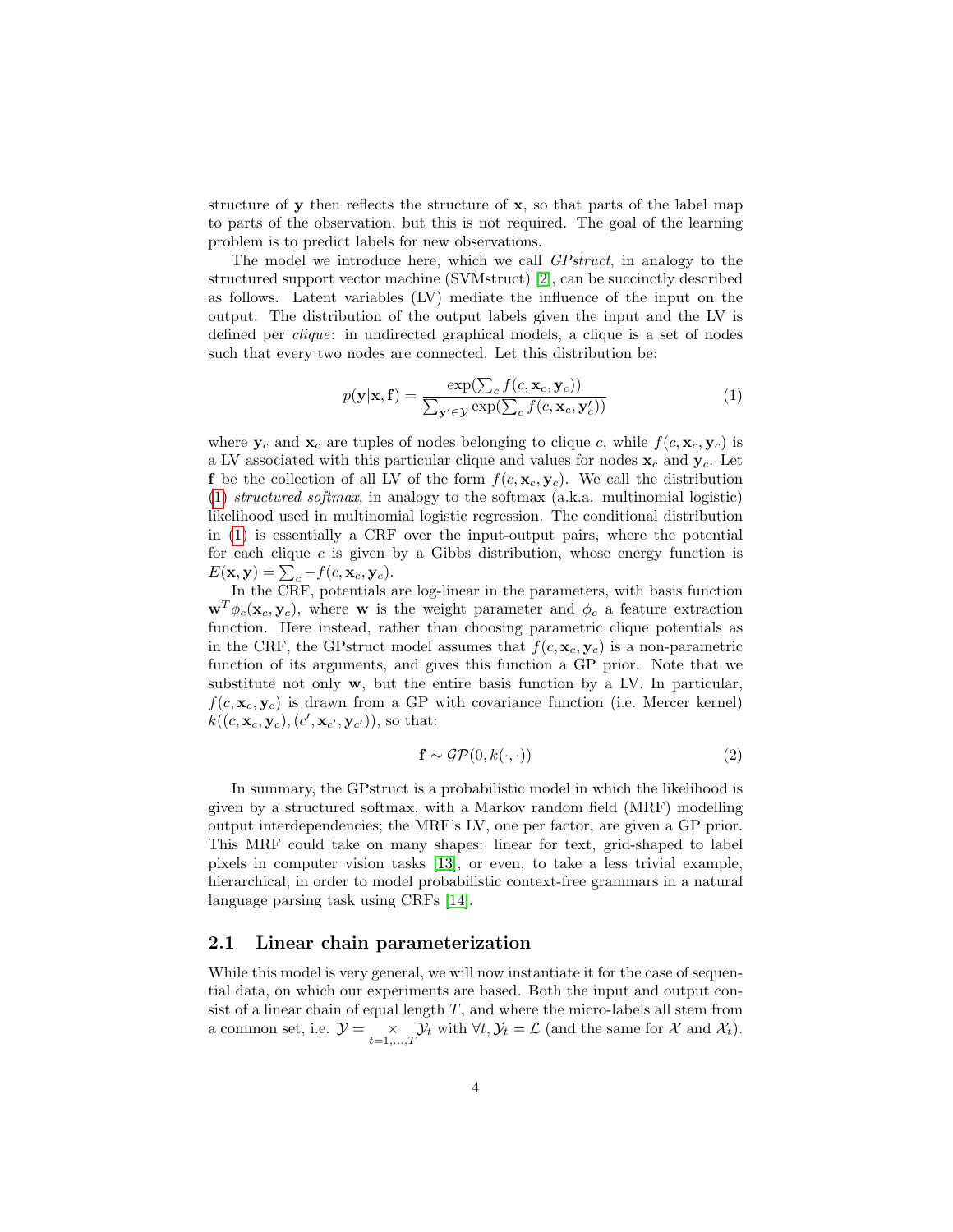structure of  $\bf{y}$  then reflects the structure of  $\bf{x}$ , so that parts of the label map to parts of the observation, but this is not required. The goal of the learning problem is to predict labels for new observations.

The model we introduce here, which we call *GPstruct*, in analogy to the structured support vector machine (SVMstruct) [\[2\]](#page-15-1), can be succinctly described as follows. Latent variables (LV) mediate the influence of the input on the output. The distribution of the output labels given the input and the LV is defined per clique: in undirected graphical models, a clique is a set of nodes such that every two nodes are connected. Let this distribution be:

<span id="page-3-0"></span>
$$
p(\mathbf{y}|\mathbf{x}, \mathbf{f}) = \frac{\exp(\sum_{c} f(c, \mathbf{x}_{c}, \mathbf{y}_{c}))}{\sum_{\mathbf{y}' \in \mathcal{Y}} \exp(\sum_{c} f(c, \mathbf{x}_{c}, \mathbf{y}'_{c}))}
$$
(1)

where  $y_c$  and  $x_c$  are tuples of nodes belonging to clique c, while  $f(c, x_c, y_c)$  is a LV associated with this particular clique and values for nodes  $\mathbf{x}_c$  and  $\mathbf{y}_c$ . Let f be the collection of all LV of the form  $f(c, \mathbf{x}_c, \mathbf{y}_c)$ . We call the distribution [\(1\)](#page-3-0) structured softmax, in analogy to the softmax (a.k.a. multinomial logistic) likelihood used in multinomial logistic regression. The conditional distribution in [\(1\)](#page-3-0) is essentially a CRF over the input-output pairs, where the potential for each clique  $c$  is given by a Gibbs distribution, whose energy function is  $E(\mathbf{x}, \mathbf{y}) = \sum_{c} -f(c, \mathbf{x}_c, \mathbf{y}_c).$ 

In the CRF, potentials are log-linear in the parameters, with basis function  $\mathbf{w}^T \phi_c(\mathbf{x}_c, \mathbf{y}_c)$ , where **w** is the weight parameter and  $\phi_c$  a feature extraction function. Here instead, rather than choosing parametric clique potentials as in the CRF, the GPstruct model assumes that  $f(c, \mathbf{x}_c, \mathbf{y}_c)$  is a non-parametric function of its arguments, and gives this function a GP prior. Note that we substitute not only w, but the entire basis function by a LV. In particular,  $f(c, \mathbf{x}_c, \mathbf{y}_c)$  is drawn from a GP with covariance function (i.e. Mercer kernel)  $k((c,\mathbf{x}_c,\mathbf{y}_c), (c',\mathbf{x}_{c'},\mathbf{y}_{c'})),$  so that:

$$
\mathbf{f} \sim \mathcal{GP}(0, k(\cdot, \cdot)) \tag{2}
$$

In summary, the GPstruct is a probabilistic model in which the likelihood is given by a structured softmax, with a Markov random field (MRF) modelling output interdependencies; the MRF's LV, one per factor, are given a GP prior. This MRF could take on many shapes: linear for text, grid-shaped to label pixels in computer vision tasks [\[13\]](#page-16-2), or even, to take a less trivial example, hierarchical, in order to model probabilistic context-free grammars in a natural language parsing task using CRFs [\[14\]](#page-16-3).

#### 2.1 Linear chain parameterization

While this model is very general, we will now instantiate it for the case of sequential data, on which our experiments are based. Both the input and output consist of a linear chain of equal length  $T$ , and where the micro-labels all stem from a common set, i.e.  $\mathcal{Y} = \underset{t=1,\ldots,T}{\times} \mathcal{Y}_t$  with  $\forall t, \mathcal{Y}_t = \mathcal{L}$  (and the same for X and  $\mathcal{X}_t$ ).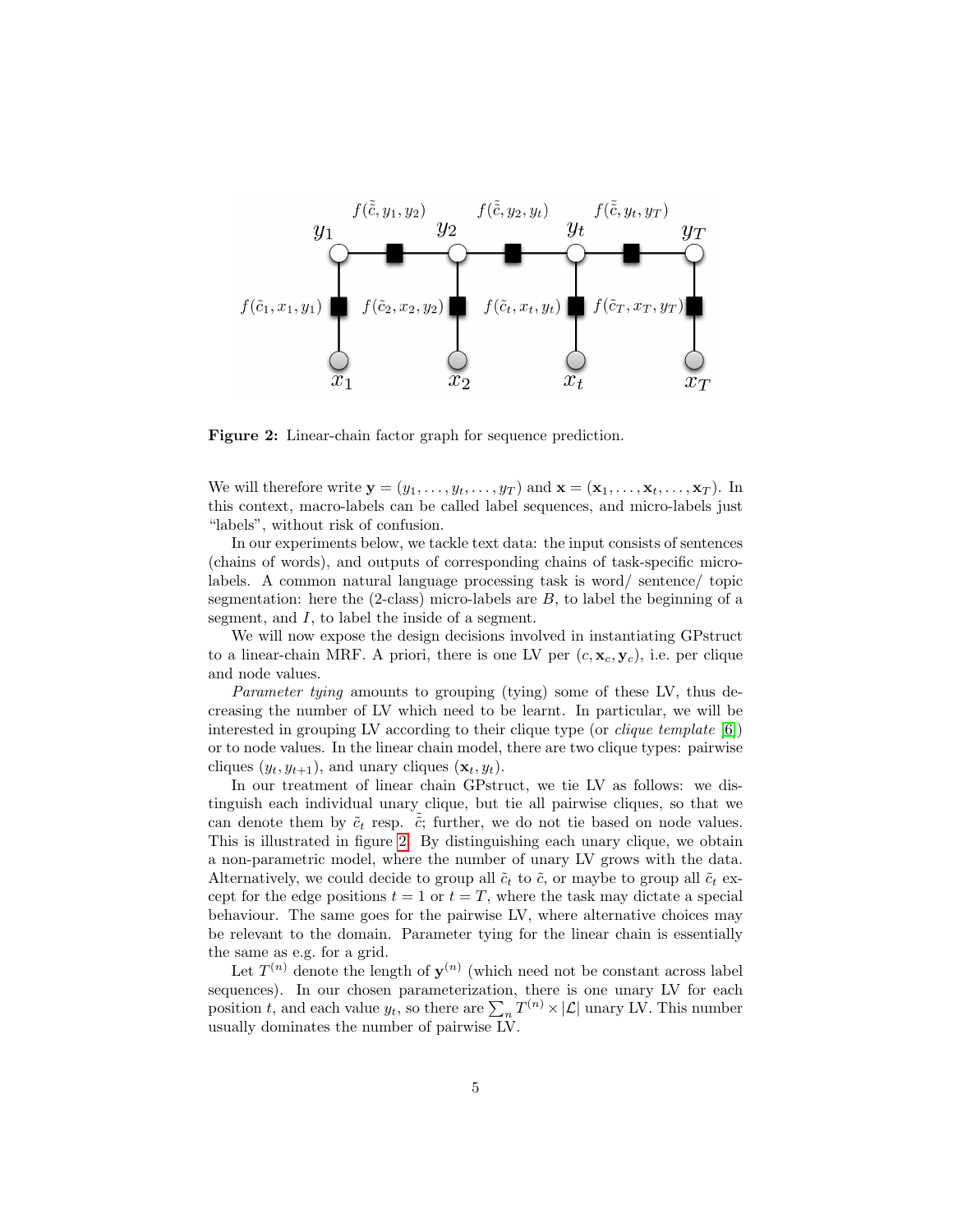<span id="page-4-0"></span>

Figure 2: Linear-chain factor graph for sequence prediction.

We will therefore write  $\mathbf{y} = (y_1, \ldots, y_t, \ldots, y_T)$  and  $\mathbf{x} = (\mathbf{x}_1, \ldots, \mathbf{x}_t, \ldots, \mathbf{x}_T)$ . In this context, macro-labels can be called label sequences, and micro-labels just "labels", without risk of confusion.

In our experiments below, we tackle text data: the input consists of sentences (chains of words), and outputs of corresponding chains of task-specific microlabels. A common natural language processing task is word/ sentence/ topic segmentation: here the  $(2-\text{class})$  micro-labels are  $B$ , to label the beginning of a segment, and I, to label the inside of a segment.

We will now expose the design decisions involved in instantiating GPstruct to a linear-chain MRF. A priori, there is one LV per  $(c, \mathbf{x}_c, \mathbf{y}_c)$ , i.e. per clique and node values.

Parameter tying amounts to grouping (tying) some of these LV, thus decreasing the number of LV which need to be learnt. In particular, we will be interested in grouping LV according to their clique type (or clique template [\[6\]](#page-15-5)) or to node values. In the linear chain model, there are two clique types: pairwise cliques  $(y_t, y_{t+1})$ , and unary cliques  $(\mathbf{x}_t, y_t)$ .

In our treatment of linear chain GPstruct, we tie LV as follows: we distinguish each individual unary clique, but tie all pairwise cliques, so that we can denote them by  $\tilde{c}_t$  resp.  $\tilde{c}_t$ ; further, we do not tie based on node values. This is illustrated in figure [2.](#page-4-0) By distinguishing each unary clique, we obtain a non-parametric model, where the number of unary LV grows with the data. Alternatively, we could decide to group all  $\tilde{c}_t$  to  $\tilde{c}$ , or maybe to group all  $\tilde{c}_t$  except for the edge positions  $t = 1$  or  $t = T$ , where the task may dictate a special behaviour. The same goes for the pairwise LV, where alternative choices may be relevant to the domain. Parameter tying for the linear chain is essentially the same as e.g. for a grid.

Let  $T^{(n)}$  denote the length of  $y^{(n)}$  (which need not be constant across label sequences). In our chosen parameterization, there is one unary LV for each position t, and each value  $y_t$ , so there are  $\sum_n T^{(n)} \times |\mathcal{L}|$  unary LV. This number usually dominates the number of pairwise LV.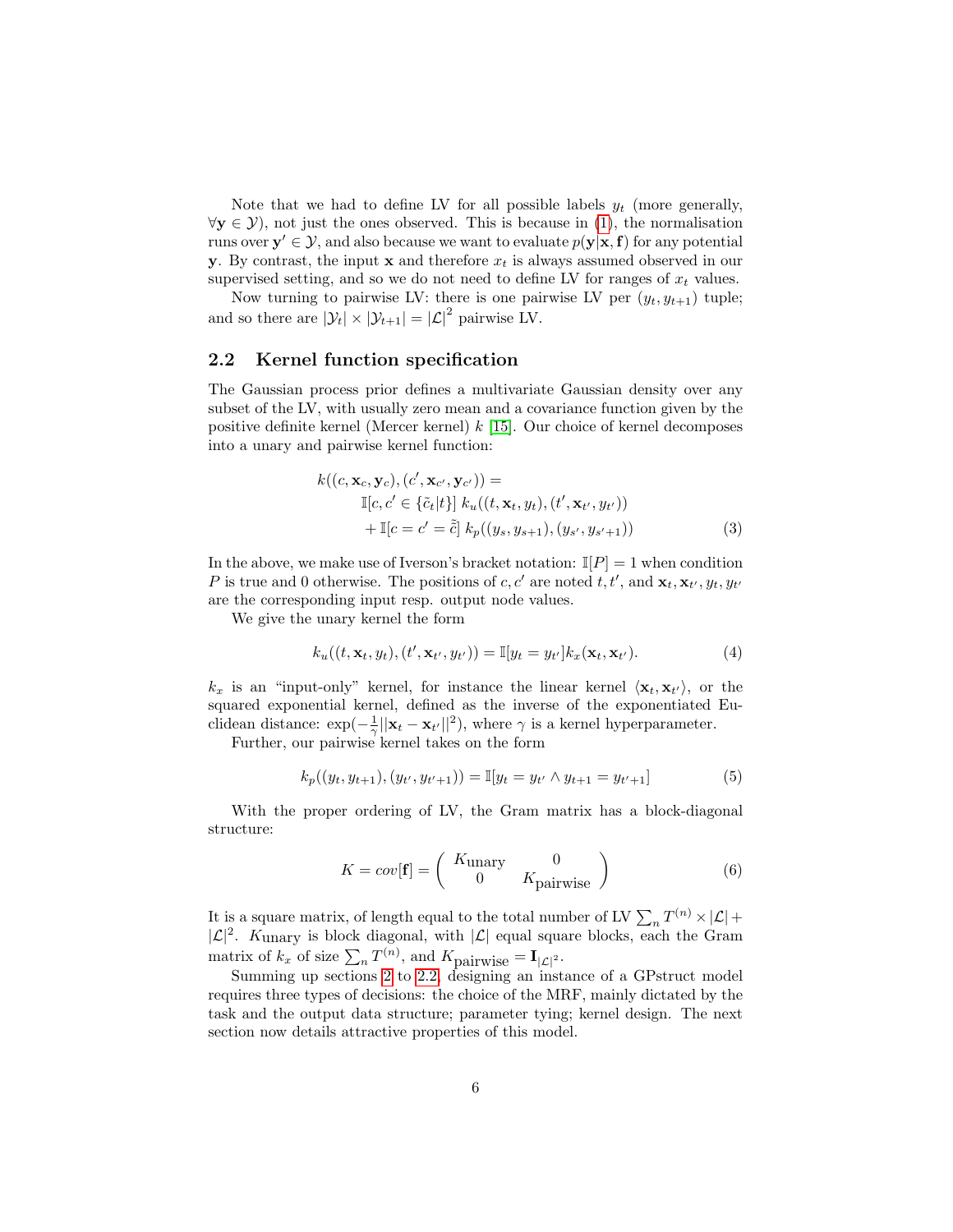Note that we had to define LV for all possible labels  $y_t$  (more generally,  $\forall y \in \mathcal{Y}$ , not just the ones observed. This is because in [\(1\)](#page-3-0), the normalisation runs over  $y' \in \mathcal{Y}$ , and also because we want to evaluate  $p(y|x, f)$  for any potential y. By contrast, the input  $x$  and therefore  $x_t$  is always assumed observed in our supervised setting, and so we do not need to define LV for ranges of  $x_t$  values.

Now turning to pairwise LV: there is one pairwise LV per  $(y_t, y_{t+1})$  tuple; and so there are  $|\mathcal{Y}_t| \times |\mathcal{Y}_{t+1}| = |\mathcal{L}|^2$  pairwise LV.

#### <span id="page-5-0"></span>2.2 Kernel function specification

The Gaussian process prior defines a multivariate Gaussian density over any subset of the LV, with usually zero mean and a covariance function given by the positive definite kernel (Mercer kernel)  $k$  [\[15\]](#page-16-4). Our choice of kernel decomposes into a unary and pairwise kernel function:

$$
k((c, \mathbf{x}_c, \mathbf{y}_c), (c', \mathbf{x}_{c'}, \mathbf{y}_{c'})) =\mathbb{I}[c, c' \in {\tilde{c}_t[t]} k_u((t, \mathbf{x}_t, y_t), (t', \mathbf{x}_{t'}, y_{t'}))+ \mathbb{I}[c = c' = \tilde{\tilde{c}}] k_p((y_s, y_{s+1}), (y_{s'}, y_{s'+1}))
$$
\n(3)

In the above, we make use of Iverson's bracket notation:  $\mathbb{I}[P] = 1$  when condition P is true and 0 otherwise. The positions of c, c' are noted t, t', and  $\mathbf{x}_t, \mathbf{x}_{t'}, y_t, y_{t'}$ are the corresponding input resp. output node values.

We give the unary kernel the form

$$
k_u((t, \mathbf{x}_t, y_t), (t', \mathbf{x}_{t'}, y_{t'})) = \mathbb{I}[y_t = y_{t'}]k_x(\mathbf{x}_t, \mathbf{x}_{t'}).
$$
\n(4)

 $k_x$  is an "input-only" kernel, for instance the linear kernel  $\langle \mathbf{x}_t, \mathbf{x}_{t'} \rangle$ , or the squared exponential kernel, defined as the inverse of the exponentiated Euclidean distance:  $\exp(-\frac{1}{\gamma}||\mathbf{x}_t - \mathbf{x}_{t'}||^2)$ , where  $\gamma$  is a kernel hyperparameter.

Further, our pairwise kernel takes on the form

$$
k_p((y_t, y_{t+1}), (y_{t'}, y_{t'+1})) = \mathbb{I}[y_t = y_{t'} \land y_{t+1} = y_{t'+1}]
$$
\n(5)

With the proper ordering of LV, the Gram matrix has a block-diagonal structure:

$$
K = cov[\mathbf{f}] = \begin{pmatrix} K_{\text{unary}} & 0 \\ 0 & K_{\text{pairwise}} \end{pmatrix}
$$
 (6)

It is a square matrix, of length equal to the total number of LV  $\sum_n T^{(n)} \times |\mathcal{L}| +$  $|\mathcal{L}|^2$ . Kunary is block diagonal, with  $|\mathcal{L}|$  equal square blocks, each the Gram matrix of  $k_x$  of size  $\sum_n T^{(n)}$ , and  $K_{\text{pairwise}} = \mathbf{I}_{|\mathcal{L}|^2}$ .

Summing up sections [2](#page-2-0) to [2.2,](#page-5-0) designing an instance of a GPstruct model requires three types of decisions: the choice of the MRF, mainly dictated by the task and the output data structure; parameter tying; kernel design. The next section now details attractive properties of this model.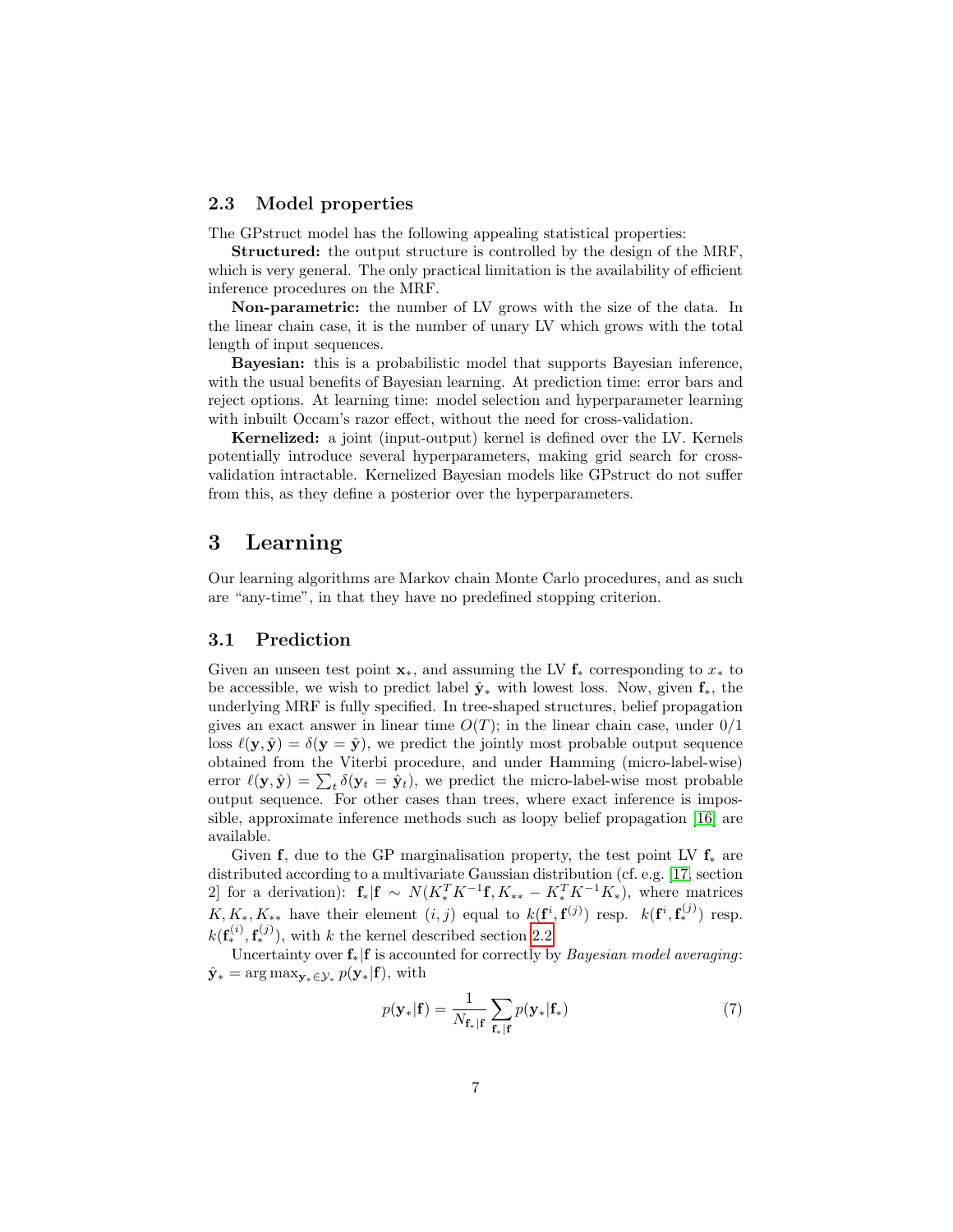#### <span id="page-6-2"></span>2.3 Model properties

The GPstruct model has the following appealing statistical properties:

Structured: the output structure is controlled by the design of the MRF, which is very general. The only practical limitation is the availability of efficient inference procedures on the MRF.

Non-parametric: the number of LV grows with the size of the data. In the linear chain case, it is the number of unary LV which grows with the total length of input sequences.

Bayesian: this is a probabilistic model that supports Bayesian inference, with the usual benefits of Bayesian learning. At prediction time: error bars and reject options. At learning time: model selection and hyperparameter learning with inbuilt Occam's razor effect, without the need for cross-validation.

Kernelized: a joint (input-output) kernel is defined over the LV. Kernels potentially introduce several hyperparameters, making grid search for crossvalidation intractable. Kernelized Bayesian models like GPstruct do not suffer from this, as they define a posterior over the hyperparameters.

# <span id="page-6-0"></span>3 Learning

Our learning algorithms are Markov chain Monte Carlo procedures, and as such are "any-time", in that they have no predefined stopping criterion.

#### <span id="page-6-3"></span>3.1 Prediction

Given an unseen test point  $\mathbf{x}_*$ , and assuming the LV  $\mathbf{f}_*$  corresponding to  $x_*$  to be accessible, we wish to predict label  $\hat{\mathbf{y}}_*$  with lowest loss. Now, given  $\mathbf{f}_*,$  the underlying MRF is fully specified. In tree-shaped structures, belief propagation gives an exact answer in linear time  $O(T)$ ; in the linear chain case, under  $0/1$ loss  $\ell(y, \hat{y}) = \delta(y = \hat{y})$ , we predict the jointly most probable output sequence obtained from the Viterbi procedure, and under Hamming (micro-label-wise) error  $\ell(\mathbf{y}, \hat{\mathbf{y}}) = \sum_{t} \delta(\mathbf{y}_t = \hat{\mathbf{y}}_t)$ , we predict the micro-label-wise most probable output sequence. For other cases than trees, where exact inference is impossible, approximate inference methods such as loopy belief propagation [\[16\]](#page-16-5) are available.

Given f, due to the GP marginalisation property, the test point LV  $f_*$  are distributed according to a multivariate Gaussian distribution (cf. e.g. [\[17,](#page-16-6) section 2] for a derivation):  $f_*|f \sim N(K_*^T K^{-1} f, K_{**} - K_*^T K^{-1} K_*)$ , where matrices  $K, K_*, K_{**}$  have their element  $(i, j)$  equal to  $k(\mathbf{f}^i, \mathbf{f}^{(j)})$  resp.  $k(\mathbf{f}^i, \mathbf{f}^{(j)}_*)$  resp.  $k(\mathbf{f}_{*}^{(i)}, \mathbf{f}_{*}^{(j)})$ , with k the kernel described section [2.2.](#page-5-0)

Uncertainty over  $f_*|f$  is accounted for correctly by *Bayesian model averaging*:  $\hat{\mathbf{y}}_* = \arg \max_{\mathbf{y}_* \in \mathcal{Y}_*} p(\mathbf{y}_*|\mathbf{f}), \text{ with}$ 

<span id="page-6-1"></span>
$$
p(\mathbf{y}_{*}|\mathbf{f}) = \frac{1}{N_{\mathbf{f}_{*}|\mathbf{f}}} \sum_{\mathbf{f}_{*}|\mathbf{f}} p(\mathbf{y}_{*}|\mathbf{f}_{*})
$$
\n(7)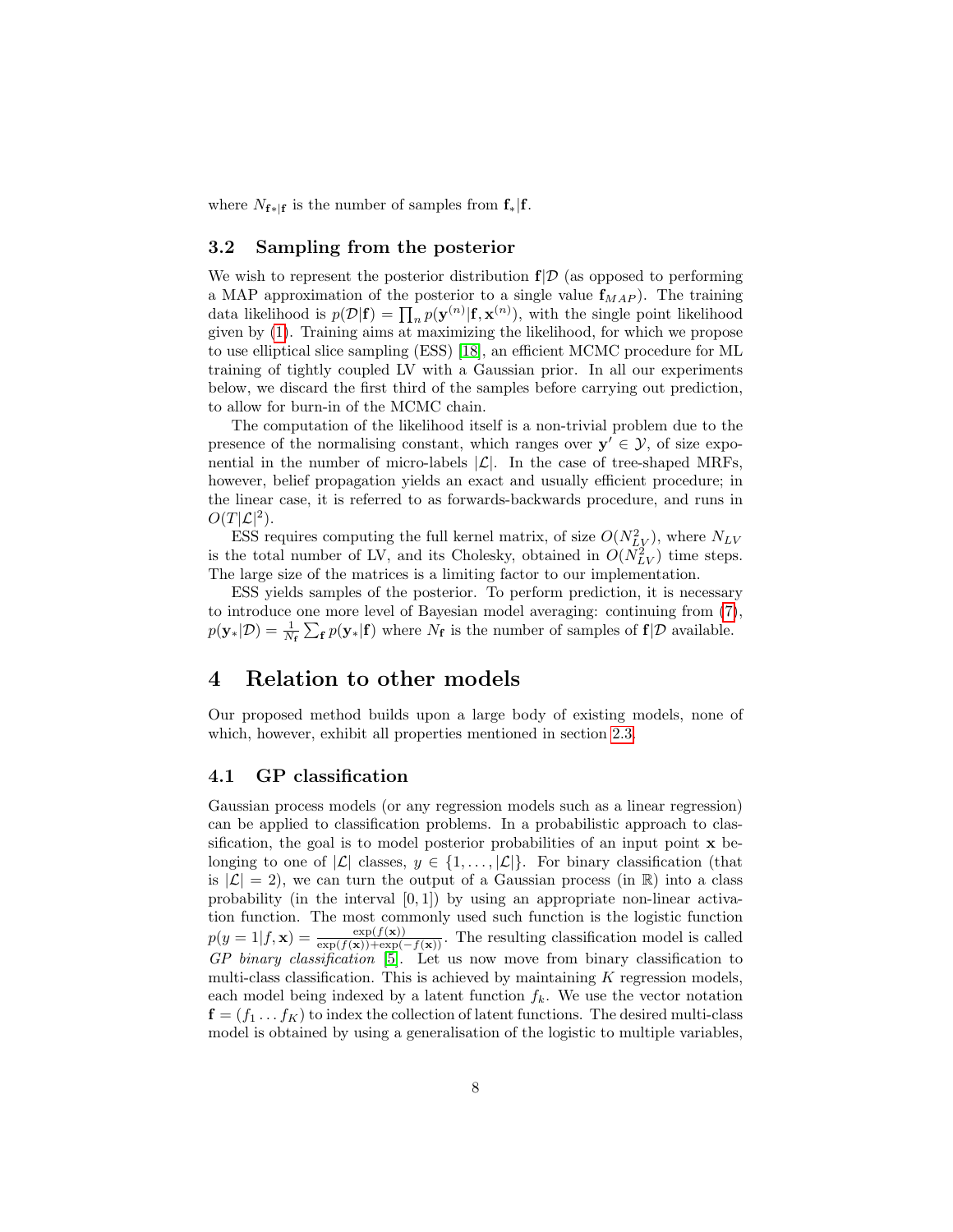where  $N_{\mathbf{f} * | \mathbf{f}}$  is the number of samples from  $f_* | f$ .

### 3.2 Sampling from the posterior

We wish to represent the posterior distribution  $f/\mathcal{D}$  (as opposed to performing a MAP approximation of the posterior to a single value  $f_{MAP}$ ). The training data likelihood is  $p(\mathcal{D}|\mathbf{f}) = \prod_n p(\mathbf{y}^{(n)}|\mathbf{f}, \mathbf{x}^{(n)})$ , with the single point likelihood given by [\(1\)](#page-3-0). Training aims at maximizing the likelihood, for which we propose to use elliptical slice sampling (ESS) [\[18\]](#page-16-7), an efficient MCMC procedure for ML training of tightly coupled LV with a Gaussian prior. In all our experiments below, we discard the first third of the samples before carrying out prediction, to allow for burn-in of the MCMC chain.

The computation of the likelihood itself is a non-trivial problem due to the presence of the normalising constant, which ranges over  $y' \in \mathcal{Y}$ , of size exponential in the number of micro-labels  $|\mathcal{L}|$ . In the case of tree-shaped MRFs, however, belief propagation yields an exact and usually efficient procedure; in the linear case, it is referred to as forwards-backwards procedure, and runs in  $O(T|\mathcal{L}|^2)$ .

ESS requires computing the full kernel matrix, of size  $O(N_{LV}^2)$ , where  $N_{LV}$ is the total number of LV, and its Cholesky, obtained in  $O(N_{LV}^2)$  time steps. The large size of the matrices is a limiting factor to our implementation.

ESS yields samples of the posterior. To perform prediction, it is necessary to introduce one more level of Bayesian model averaging: continuing from [\(7\)](#page-6-1),  $p(\mathbf{y}_*|\mathcal{D}) = \frac{1}{N_f} \sum_{\mathbf{f}} p(\mathbf{y}_*|\mathbf{f})$  where  $N_f$  is the number of samples of  $\mathbf{f}|\mathcal{D}$  available.

# <span id="page-7-0"></span>4 Relation to other models

Our proposed method builds upon a large body of existing models, none of which, however, exhibit all properties mentioned in section [2.3.](#page-6-2)

#### 4.1 GP classification

Gaussian process models (or any regression models such as a linear regression) can be applied to classification problems. In a probabilistic approach to classification, the goal is to model posterior probabilities of an input point  $x$  belonging to one of  $|\mathcal{L}|$  classes,  $y \in \{1, ..., |\mathcal{L}|\}$ . For binary classification (that is  $|\mathcal{L}| = 2$ , we can turn the output of a Gaussian process (in R) into a class probability (in the interval  $[0, 1]$ ) by using an appropriate non-linear activation function. The most commonly used such function is the logistic function  $p(y=1|f,\mathbf{x}) = \frac{\exp(f(\mathbf{x}))}{\exp(f(\mathbf{x}))+\exp(-f(\mathbf{x}))}$ . The resulting classification model is called GP binary classification [\[5\]](#page-15-4). Let us now move from binary classification to multi-class classification. This is achieved by maintaining  $K$  regression models, each model being indexed by a latent function  $f_k$ . We use the vector notation  $f = (f_1 \dots f_K)$  to index the collection of latent functions. The desired multi-class model is obtained by using a generalisation of the logistic to multiple variables,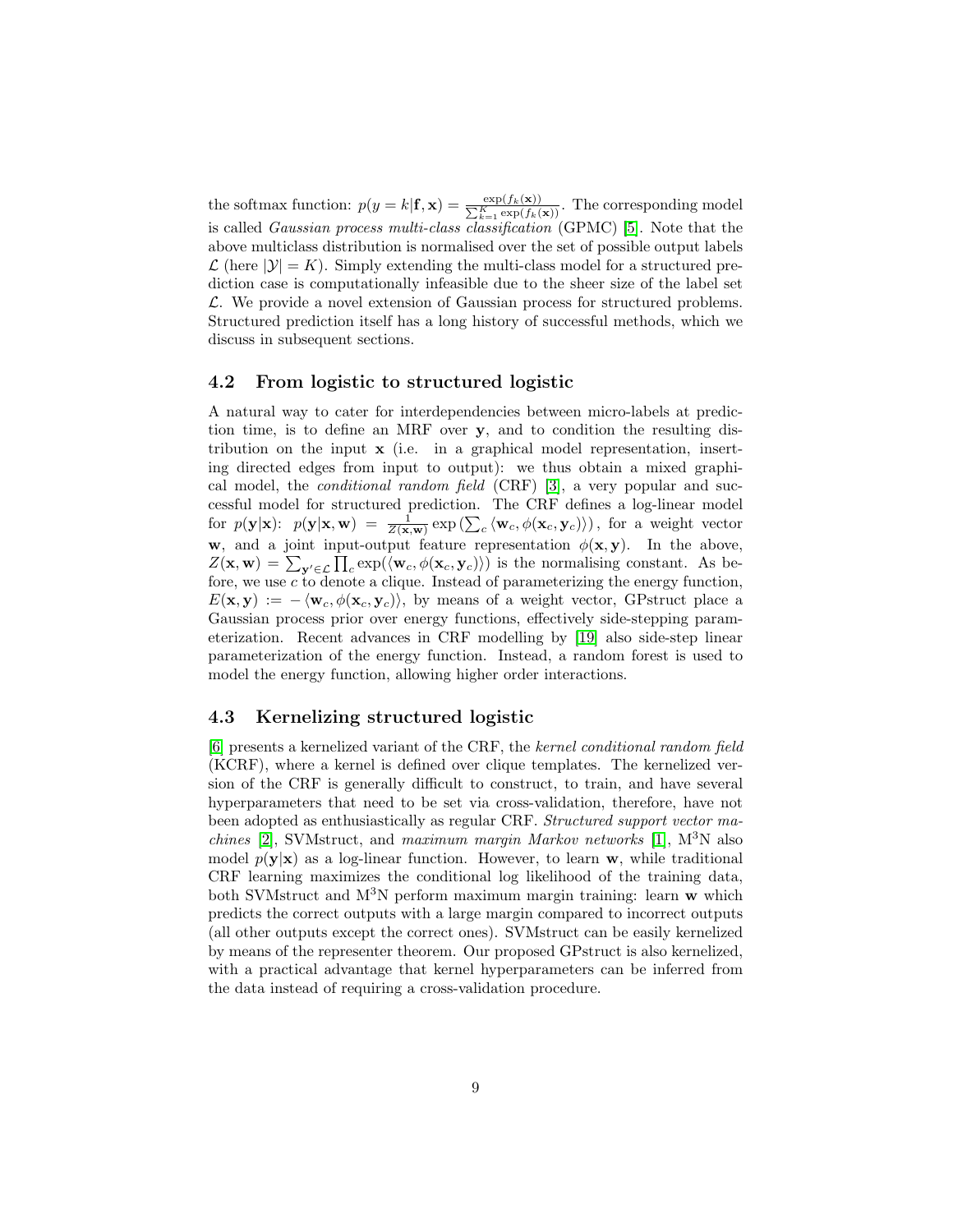the softmax function:  $p(y = k | \mathbf{f}, \mathbf{x}) = \frac{\exp(f_k(\mathbf{x}))}{\sum_{k=1}^K \exp(f_k(\mathbf{x}))}$ . The corresponding model is called Gaussian process multi-class classification (GPMC) [\[5\]](#page-15-4). Note that the above multiclass distribution is normalised over the set of possible output labels  $\mathcal{L}$  (here  $|\mathcal{Y}| = K$ ). Simply extending the multi-class model for a structured prediction case is computationally infeasible due to the sheer size of the label set L. We provide a novel extension of Gaussian process for structured problems. Structured prediction itself has a long history of successful methods, which we discuss in subsequent sections.

#### 4.2 From logistic to structured logistic

A natural way to cater for interdependencies between micro-labels at prediction time, is to define an MRF over y, and to condition the resulting distribution on the input x (i.e. in a graphical model representation, inserting directed edges from input to output): we thus obtain a mixed graphical model, the conditional random field (CRF) [\[3\]](#page-15-2), a very popular and successful model for structured prediction. The CRF defines a log-linear model for  $p(\mathbf{y}|\mathbf{x})$ :  $p(\mathbf{y}|\mathbf{x}, \mathbf{w}) = \frac{1}{Z(\mathbf{x}, \mathbf{w})} \exp\left(\sum_{c} \langle \mathbf{w}_c, \phi(\mathbf{x}_c, \mathbf{y}_c) \rangle\right)$ , for a weight vector w, and a joint input-output feature representation  $\phi(\mathbf{x}, \mathbf{y})$ . In the above,  $Z(\mathbf{x}, \mathbf{w}) = \sum_{\mathbf{y}' \in \mathcal{L}} \prod_c \exp(\langle \mathbf{w}_c, \phi(\mathbf{x}_c, \mathbf{y}_c) \rangle)$  is the normalising constant. As before, we use  $\overline{c}$  to denote a clique. Instead of parameterizing the energy function,  $E(\mathbf{x}, \mathbf{y}) := -\langle \mathbf{w}_c, \phi(\mathbf{x}_c, \mathbf{y}_c) \rangle$ , by means of a weight vector, GPstruct place a Gaussian process prior over energy functions, effectively side-stepping parameterization. Recent advances in CRF modelling by [\[19\]](#page-16-8) also side-step linear parameterization of the energy function. Instead, a random forest is used to model the energy function, allowing higher order interactions.

#### 4.3 Kernelizing structured logistic

[\[6\]](#page-15-5) presents a kernelized variant of the CRF, the kernel conditional random field (KCRF), where a kernel is defined over clique templates. The kernelized version of the CRF is generally difficult to construct, to train, and have several hyperparameters that need to be set via cross-validation, therefore, have not been adopted as enthusiastically as regular CRF. Structured support vector ma*chines* [\[2\]](#page-15-1), SVMstruct, and *maximum margin Markov networks* [\[1\]](#page-15-0),  $M^3N$  also model  $p(\mathbf{v}|\mathbf{x})$  as a log-linear function. However, to learn w, while traditional CRF learning maximizes the conditional log likelihood of the training data, both SVMstruct and  $M^{3}N$  perform maximum margin training: learn w which predicts the correct outputs with a large margin compared to incorrect outputs (all other outputs except the correct ones). SVMstruct can be easily kernelized by means of the representer theorem. Our proposed GPstruct is also kernelized, with a practical advantage that kernel hyperparameters can be inferred from the data instead of requiring a cross-validation procedure.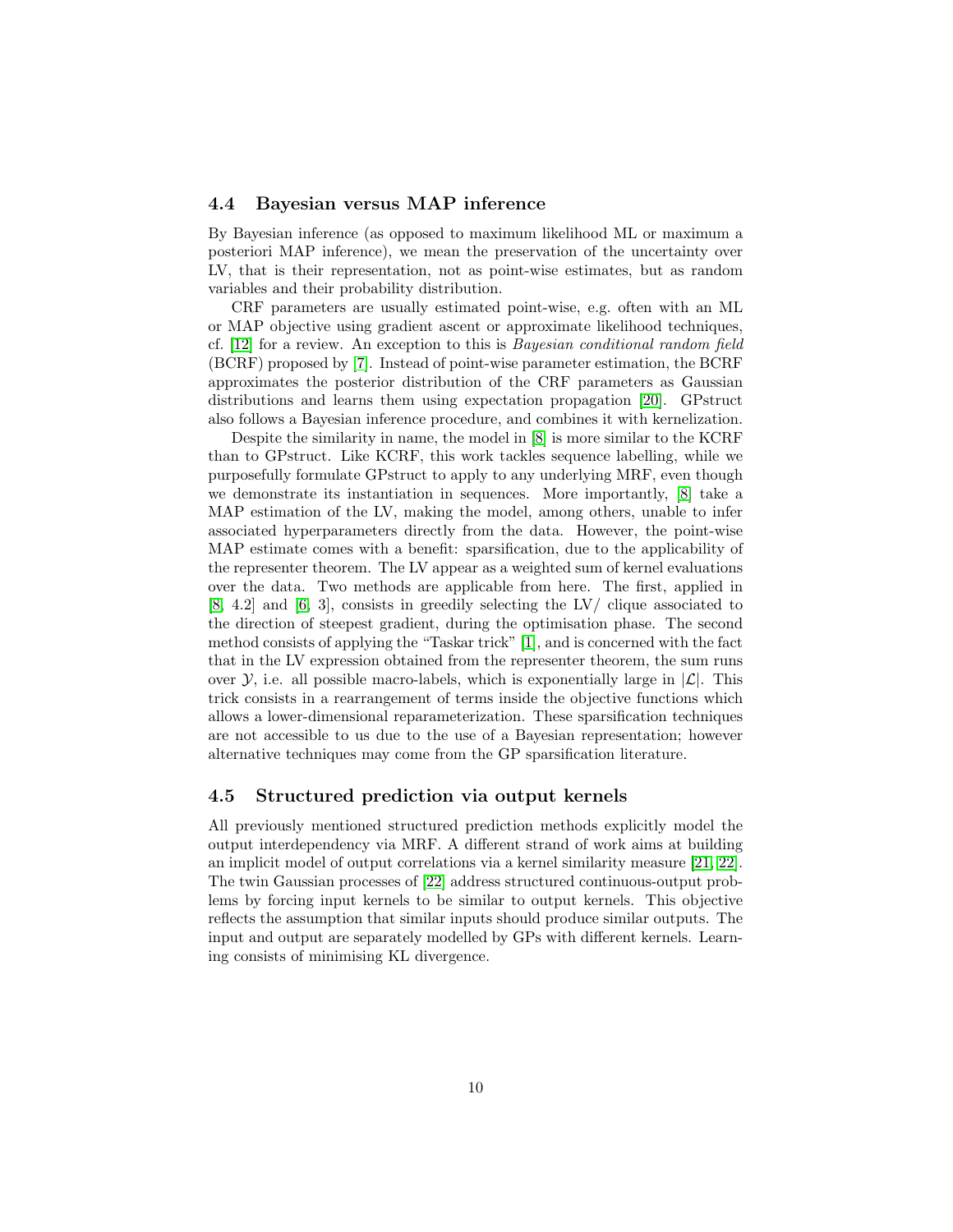#### 4.4 Bayesian versus MAP inference

By Bayesian inference (as opposed to maximum likelihood ML or maximum a posteriori MAP inference), we mean the preservation of the uncertainty over LV, that is their representation, not as point-wise estimates, but as random variables and their probability distribution.

CRF parameters are usually estimated point-wise, e.g. often with an ML or MAP objective using gradient ascent or approximate likelihood techniques, cf. [\[12\]](#page-16-1) for a review. An exception to this is Bayesian conditional random field (BCRF) proposed by [\[7\]](#page-15-6). Instead of point-wise parameter estimation, the BCRF approximates the posterior distribution of the CRF parameters as Gaussian distributions and learns them using expectation propagation [\[20\]](#page-16-9). GPstruct also follows a Bayesian inference procedure, and combines it with kernelization.

Despite the similarity in name, the model in [\[8\]](#page-15-7) is more similar to the KCRF than to GPstruct. Like KCRF, this work tackles sequence labelling, while we purposefully formulate GPstruct to apply to any underlying MRF, even though we demonstrate its instantiation in sequences. More importantly, [\[8\]](#page-15-7) take a MAP estimation of the LV, making the model, among others, unable to infer associated hyperparameters directly from the data. However, the point-wise MAP estimate comes with a benefit: sparsification, due to the applicability of the representer theorem. The LV appear as a weighted sum of kernel evaluations over the data. Two methods are applicable from here. The first, applied in [\[8,](#page-15-7) 4.2] and [\[6,](#page-15-5) 3], consists in greedily selecting the LV/ clique associated to the direction of steepest gradient, during the optimisation phase. The second method consists of applying the "Taskar trick" [\[1\]](#page-15-0), and is concerned with the fact that in the LV expression obtained from the representer theorem, the sum runs over  $\mathcal{Y}$ , i.e. all possible macro-labels, which is exponentially large in  $|\mathcal{L}|$ . This trick consists in a rearrangement of terms inside the objective functions which allows a lower-dimensional reparameterization. These sparsification techniques are not accessible to us due to the use of a Bayesian representation; however alternative techniques may come from the GP sparsification literature.

#### 4.5 Structured prediction via output kernels

All previously mentioned structured prediction methods explicitly model the output interdependency via MRF. A different strand of work aims at building an implicit model of output correlations via a kernel similarity measure [\[21,](#page-16-10) [22\]](#page-16-11). The twin Gaussian processes of [\[22\]](#page-16-11) address structured continuous-output problems by forcing input kernels to be similar to output kernels. This objective reflects the assumption that similar inputs should produce similar outputs. The input and output are separately modelled by GPs with different kernels. Learning consists of minimising KL divergence.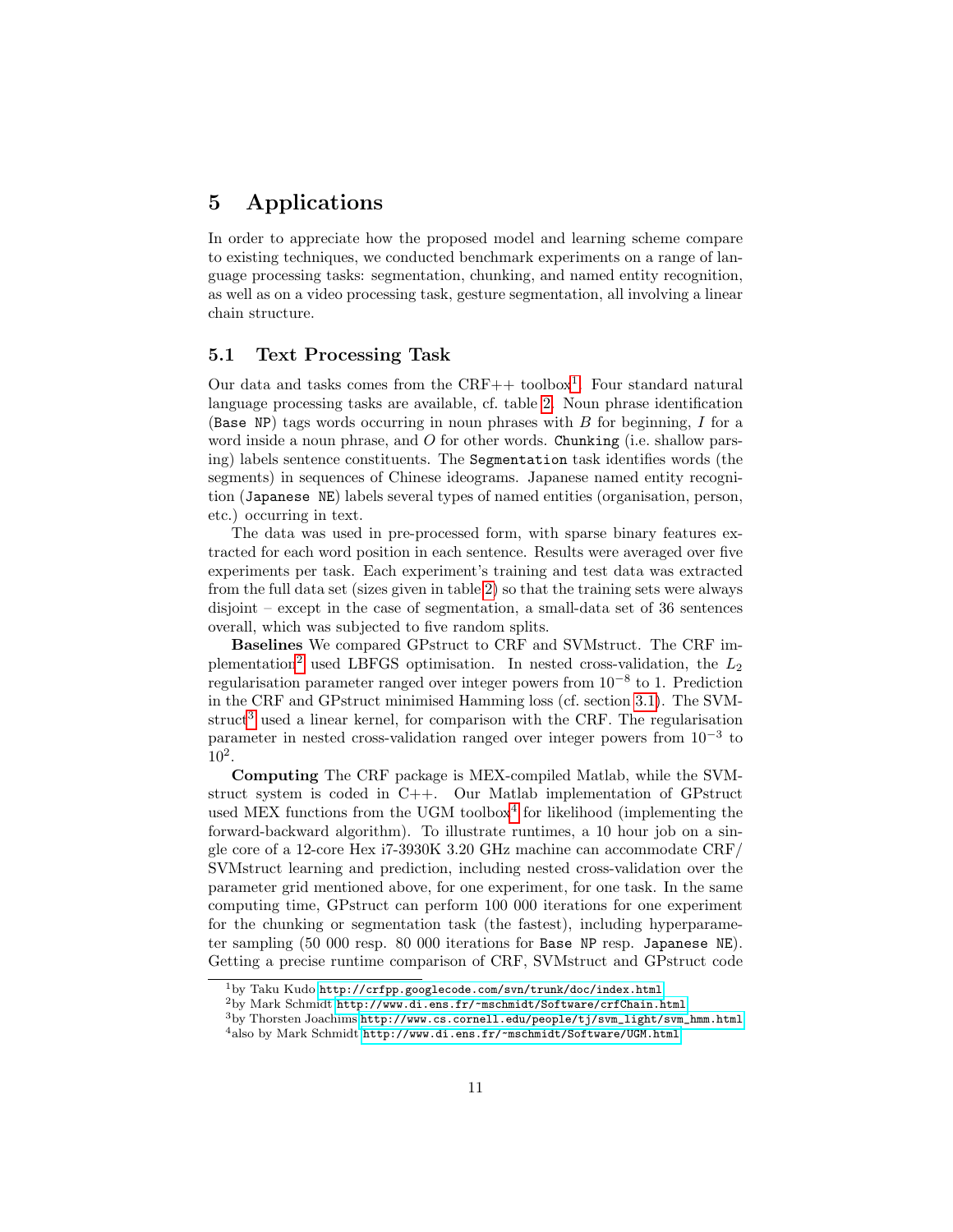# <span id="page-10-0"></span>5 Applications

In order to appreciate how the proposed model and learning scheme compare to existing techniques, we conducted benchmark experiments on a range of language processing tasks: segmentation, chunking, and named entity recognition, as well as on a video processing task, gesture segmentation, all involving a linear chain structure.

#### 5.1 Text Processing Task

Our data and tasks comes from the CRF++ toolbox<sup>[1](#page-10-1)</sup>. Four standard natural language processing tasks are available, cf. table [2.](#page-11-0) Noun phrase identification (Base NP) tags words occurring in noun phrases with  $B$  for beginning,  $I$  for a word inside a noun phrase, and  $O$  for other words. Chunking (i.e. shallow parsing) labels sentence constituents. The Segmentation task identifies words (the segments) in sequences of Chinese ideograms. Japanese named entity recognition (Japanese NE) labels several types of named entities (organisation, person, etc.) occurring in text.

The data was used in pre-processed form, with sparse binary features extracted for each word position in each sentence. Results were averaged over five experiments per task. Each experiment's training and test data was extracted from the full data set (sizes given in table [2\)](#page-11-0) so that the training sets were always disjoint – except in the case of segmentation, a small-data set of 36 sentences overall, which was subjected to five random splits.

Baselines We compared GPstruct to CRF and SVMstruct. The CRF im-plementation<sup>[2](#page-10-2)</sup> used LBFGS optimisation. In nested cross-validation, the  $L_2$ regularisation parameter ranged over integer powers from  $10^{-8}$  to 1. Prediction in the CRF and GPstruct minimised Hamming loss (cf. section [3.1\)](#page-6-3). The SVM-struct<sup>[3](#page-10-3)</sup> used a linear kernel, for comparison with the CRF. The regularisation parameter in nested cross-validation ranged over integer powers from 10<sup>−</sup><sup>3</sup> to 10<sup>2</sup> .

Computing The CRF package is MEX-compiled Matlab, while the SVMstruct system is coded in C++. Our Matlab implementation of GPstruct used MEX functions from the UGM toolbox<sup>[4](#page-10-4)</sup> for likelihood (implementing the forward-backward algorithm). To illustrate runtimes, a 10 hour job on a single core of a 12-core Hex i7-3930K 3.20 GHz machine can accommodate CRF/ SVMstruct learning and prediction, including nested cross-validation over the parameter grid mentioned above, for one experiment, for one task. In the same computing time, GPstruct can perform 100 000 iterations for one experiment for the chunking or segmentation task (the fastest), including hyperparameter sampling (50 000 resp. 80 000 iterations for Base NP resp. Japanese NE). Getting a precise runtime comparison of CRF, SVMstruct and GPstruct code

<span id="page-10-1"></span> $1_{\rm by}$  Taku Kudo <http://crfpp.googlecode.com/svn/trunk/doc/index.html>

<span id="page-10-2"></span> $^{2}$ by Mark Schmidt <http://www.di.ens.fr/~mschmidt/Software/crfChain.html>

<span id="page-10-3"></span><sup>3</sup>by Thorsten Joachims [http://www.cs.cornell.edu/people/tj/svm\\_light/svm\\_hmm.html](http://www.cs.cornell.edu/people/tj/svm_light/svm_hmm.html)

<span id="page-10-4"></span> $^4{\rm also}$  by Mark Schmidt <http://www.di.ens.fr/~mschmidt/Software/UGM.html>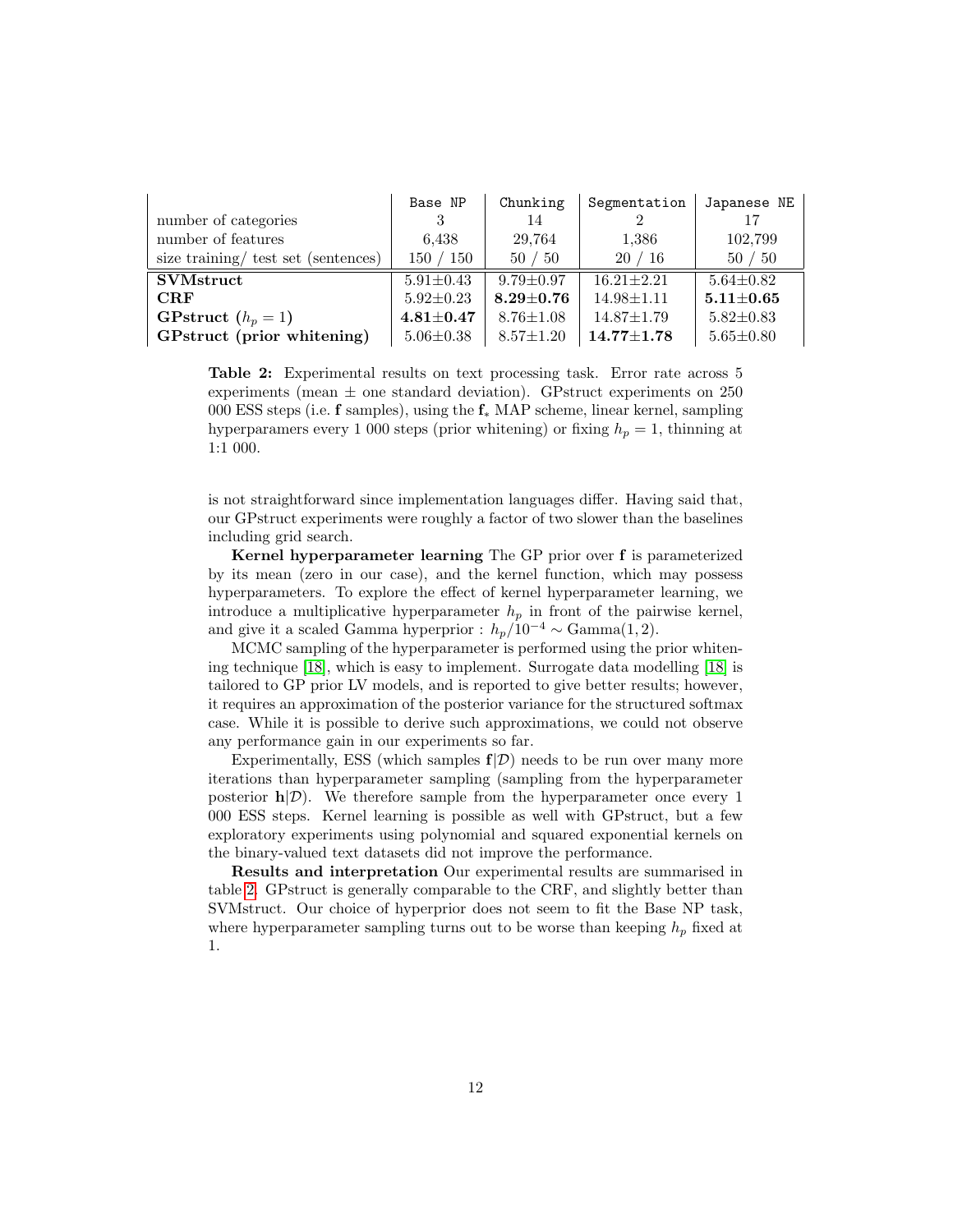<span id="page-11-0"></span>

|                                     | Base NP           | Chunking        | Segmentation     | Japanese NE     |
|-------------------------------------|-------------------|-----------------|------------------|-----------------|
| number of categories                | 3                 | 14              |                  | 17              |
| number of features                  | 6.438             | 29,764          | 1,386            | 102,799         |
| size training/ test set (sentences) | 150 / 150         | 50/50           | 20/16            | 50/50           |
| <b>SVMstruct</b>                    | $5.91 \pm 0.43$   | $9.79 \pm 0.97$ | $16.21 \pm 2.21$ | $5.64 \pm 0.82$ |
| CRF                                 | $5.92 \pm 0.23$   | $8.29 + 0.76$   | $14.98 \pm 1.11$ | $5.11 + 0.65$   |
| GPstruct $(h_p = 1)$                | $4.81 {\pm} 0.47$ | $8.76 \pm 1.08$ | $14.87 \pm 1.79$ | $5.82 \pm 0.83$ |
| GPstruct (prior whitening)          | $5.06 \pm 0.38$   | $8.57 \pm 1.20$ | $14.77{\pm}1.78$ | $5.65 \pm 0.80$ |

Table 2: Experimental results on text processing task. Error rate across 5 experiments (mean  $\pm$  one standard deviation). GPstruct experiments on 250 000 ESS steps (i.e. f samples), using the f<sup>∗</sup> MAP scheme, linear kernel, sampling hyperparamers every 1 000 steps (prior whitening) or fixing  $h_p = 1$ , thinning at 1:1 000.

is not straightforward since implementation languages differ. Having said that, our GPstruct experiments were roughly a factor of two slower than the baselines including grid search.

Kernel hyperparameter learning The GP prior over f is parameterized by its mean (zero in our case), and the kernel function, which may possess hyperparameters. To explore the effect of kernel hyperparameter learning, we introduce a multiplicative hyperparameter  $h_p$  in front of the pairwise kernel, and give it a scaled Gamma hyperprior :  $h_p/10^{-4} \sim \text{Gamma}(1, 2)$ .

MCMC sampling of the hyperparameter is performed using the prior whitening technique [\[18\]](#page-16-7), which is easy to implement. Surrogate data modelling [\[18\]](#page-16-7) is tailored to GP prior LV models, and is reported to give better results; however, it requires an approximation of the posterior variance for the structured softmax case. While it is possible to derive such approximations, we could not observe any performance gain in our experiments so far.

Experimentally, ESS (which samples  $f(\mathcal{D})$  needs to be run over many more iterations than hyperparameter sampling (sampling from the hyperparameter posterior  $h|\mathcal{D}$ ). We therefore sample from the hyperparameter once every 1 000 ESS steps. Kernel learning is possible as well with GPstruct, but a few exploratory experiments using polynomial and squared exponential kernels on the binary-valued text datasets did not improve the performance.

Results and interpretation Our experimental results are summarised in table [2.](#page-11-0) GPstruct is generally comparable to the CRF, and slightly better than SVMstruct. Our choice of hyperprior does not seem to fit the Base NP task, where hyperparameter sampling turns out to be worse than keeping  $h_p$  fixed at 1.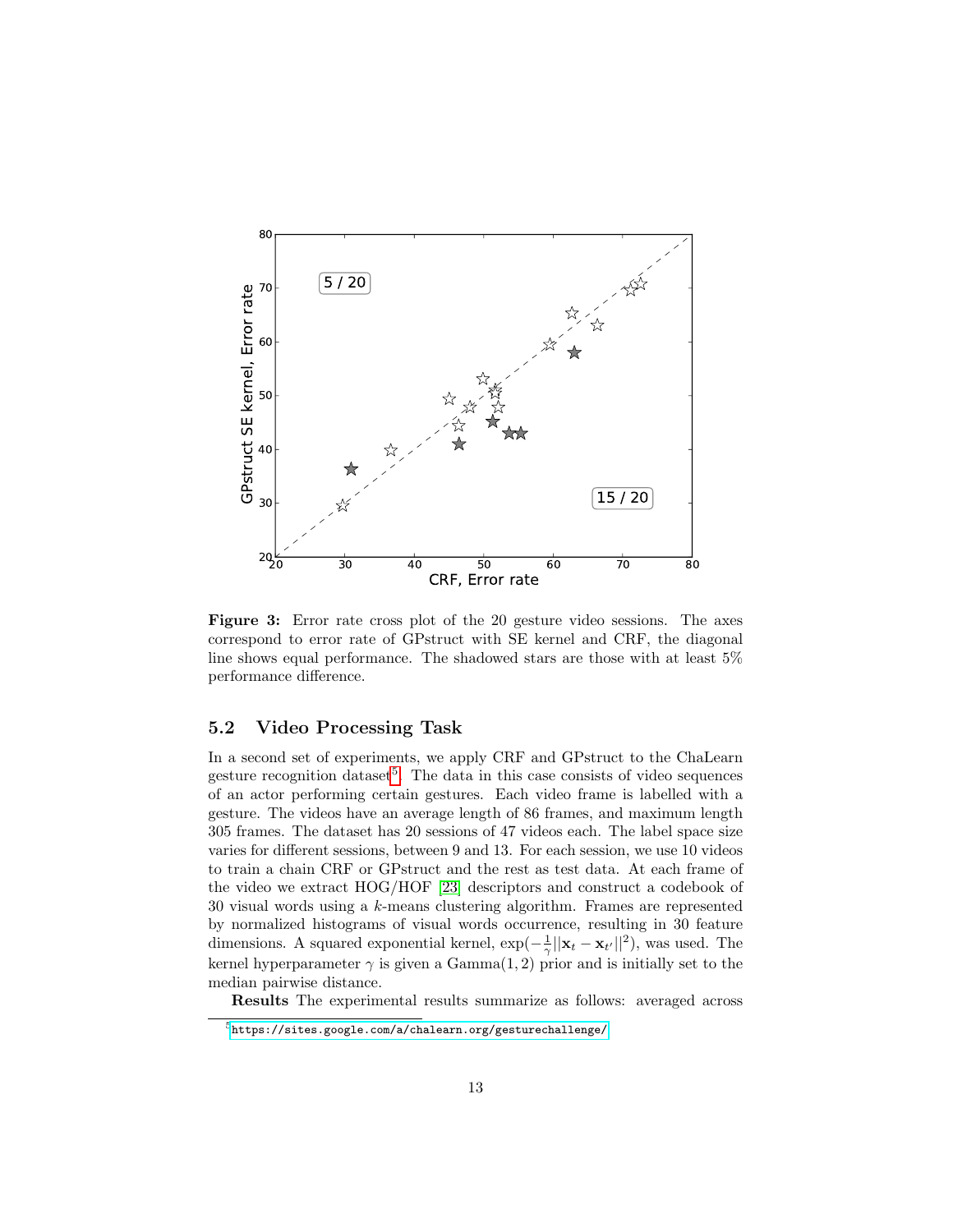<span id="page-12-1"></span>

Figure 3: Error rate cross plot of the 20 gesture video sessions. The axes correspond to error rate of GPstruct with SE kernel and CRF, the diagonal line shows equal performance. The shadowed stars are those with at least 5% performance difference.

### 5.2 Video Processing Task

In a second set of experiments, we apply CRF and GPstruct to the ChaLearn gesture recognition dataset<sup>[5](#page-12-0)</sup>. The data in this case consists of video sequences of an actor performing certain gestures. Each video frame is labelled with a gesture. The videos have an average length of 86 frames, and maximum length 305 frames. The dataset has 20 sessions of 47 videos each. The label space size varies for different sessions, between 9 and 13. For each session, we use 10 videos to train a chain CRF or GPstruct and the rest as test data. At each frame of the video we extract HOG/HOF [\[23\]](#page-16-12) descriptors and construct a codebook of 30 visual words using a k-means clustering algorithm. Frames are represented by normalized histograms of visual words occurrence, resulting in 30 feature dimensions. A squared exponential kernel,  $\exp(-\frac{1}{\gamma}||\mathbf{x}_t - \mathbf{x}_{t'}||^2)$ , was used. The kernel hyperparameter  $\gamma$  is given a Gamma $(1, 2)$  prior and is initially set to the median pairwise distance.

Results The experimental results summarize as follows: averaged across

<span id="page-12-0"></span> ${\rm ^5}$  <https://sites.google.com/a/chalearn.org/gesturechallenge/>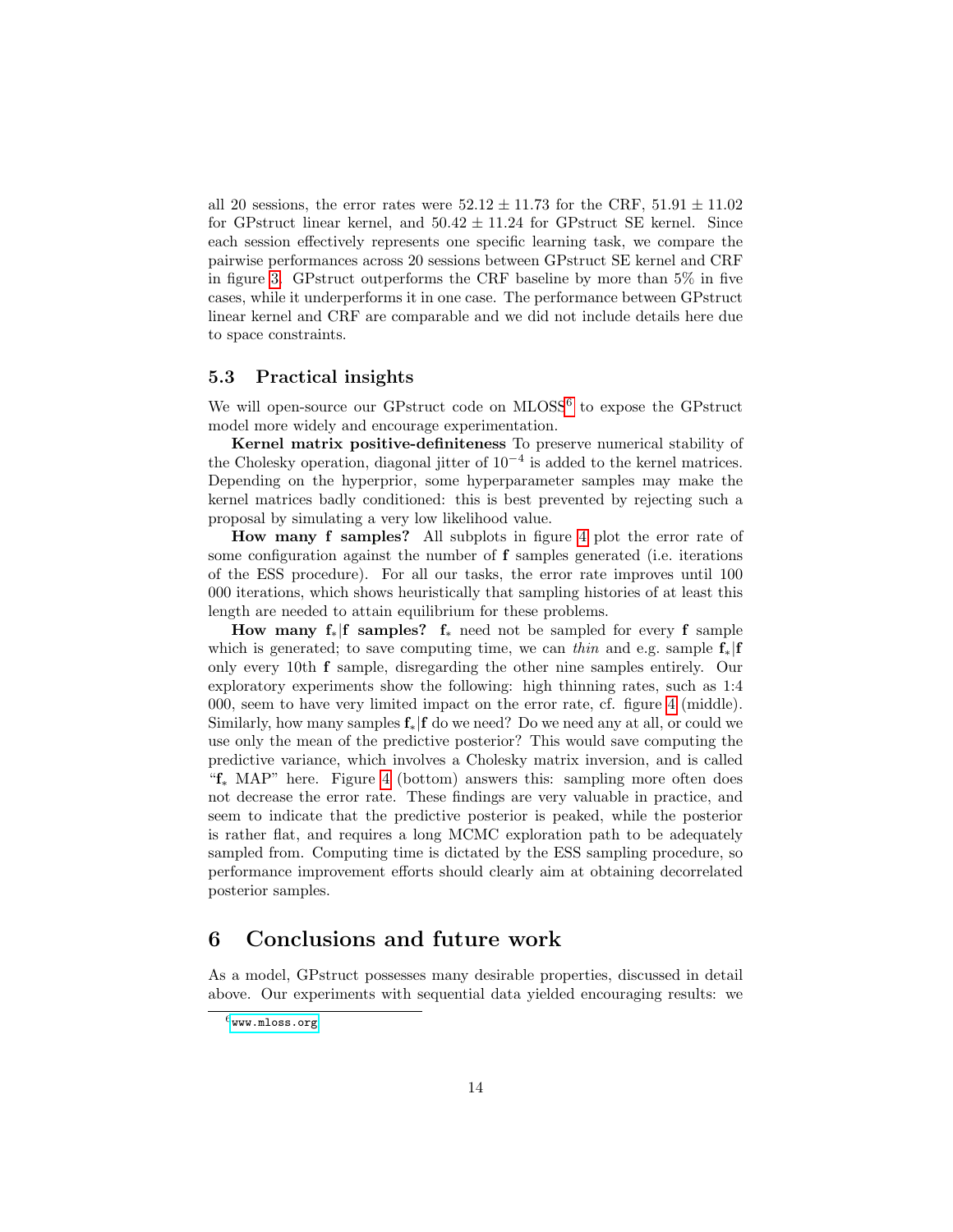all 20 sessions, the error rates were  $52.12 \pm 11.73$  for the CRF,  $51.91 \pm 11.02$ for GPstruct linear kernel, and  $50.42 \pm 11.24$  for GPstruct SE kernel. Since each session effectively represents one specific learning task, we compare the pairwise performances across 20 sessions between GPstruct SE kernel and CRF in figure [3.](#page-12-1) GPstruct outperforms the CRF baseline by more than 5% in five cases, while it underperforms it in one case. The performance between GPstruct linear kernel and CRF are comparable and we did not include details here due to space constraints.

#### 5.3 Practical insights

We will open-source our GPstruct code on MLOSS<sup>[6](#page-13-0)</sup> to expose the GPstruct model more widely and encourage experimentation.

Kernel matrix positive-definiteness To preserve numerical stability of the Cholesky operation, diagonal jitter of  $10^{-4}$  is added to the kernel matrices. Depending on the hyperprior, some hyperparameter samples may make the kernel matrices badly conditioned: this is best prevented by rejecting such a proposal by simulating a very low likelihood value.

How many f samples? All subplots in figure [4](#page-14-0) plot the error rate of some configuration against the number of f samples generated (i.e. iterations of the ESS procedure). For all our tasks, the error rate improves until 100 000 iterations, which shows heuristically that sampling histories of at least this length are needed to attain equilibrium for these problems.

How many  $f_*|f$  samples?  $f_*$  need not be sampled for every f sample which is generated; to save computing time, we can thin and e.g. sample  $f_*|f$ only every 10th f sample, disregarding the other nine samples entirely. Our exploratory experiments show the following: high thinning rates, such as 1:4 000, seem to have very limited impact on the error rate, cf. figure [4](#page-14-0) (middle). Similarly, how many samples  $f_*|f$  do we need? Do we need any at all, or could we use only the mean of the predictive posterior? This would save computing the predictive variance, which involves a Cholesky matrix inversion, and is called "f<sup>∗</sup> MAP" here. Figure [4](#page-14-0) (bottom) answers this: sampling more often does not decrease the error rate. These findings are very valuable in practice, and seem to indicate that the predictive posterior is peaked, while the posterior is rather flat, and requires a long MCMC exploration path to be adequately sampled from. Computing time is dictated by the ESS sampling procedure, so performance improvement efforts should clearly aim at obtaining decorrelated posterior samples.

# 6 Conclusions and future work

As a model, GPstruct possesses many desirable properties, discussed in detail above. Our experiments with sequential data yielded encouraging results: we

<span id="page-13-0"></span> $^6$ <www.mloss.org>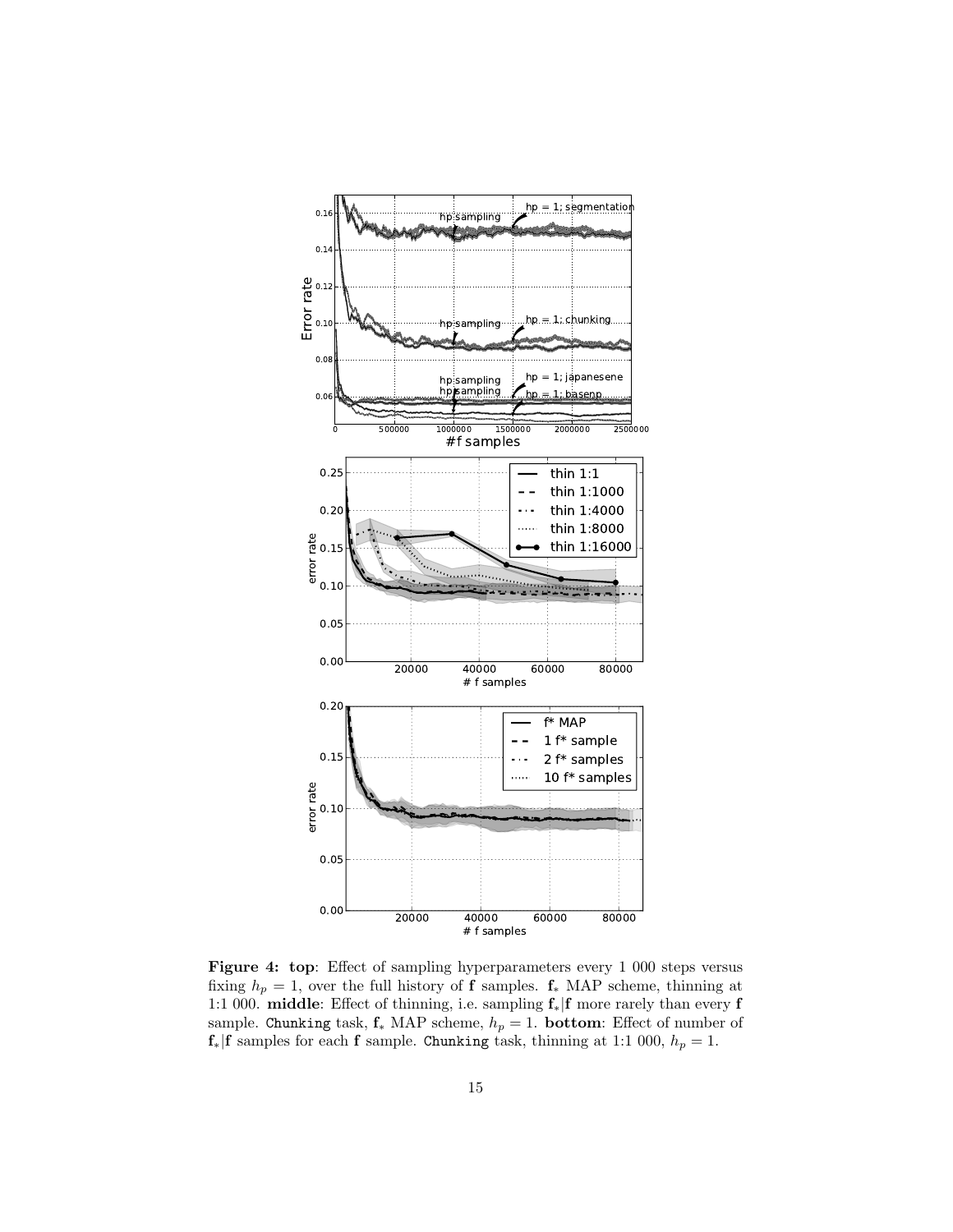<span id="page-14-0"></span>

Figure 4: top: Effect of sampling hyperparameters every 1 000 steps versus fixing  $h_p = 1$ , over the full history of **f** samples.  $f_*$  MAP scheme, thinning at 1:1 000. middle: Effect of thinning, i.e. sampling f∗|f more rarely than every f sample. Chunking task,  $f_*$  MAP scheme,  $h_p = 1$ . **bottom**: Effect of number of  $f_*|f$  samples for each  $f$  sample. Chunking task, thinning at 1:1 000,  $h_p = 1$ .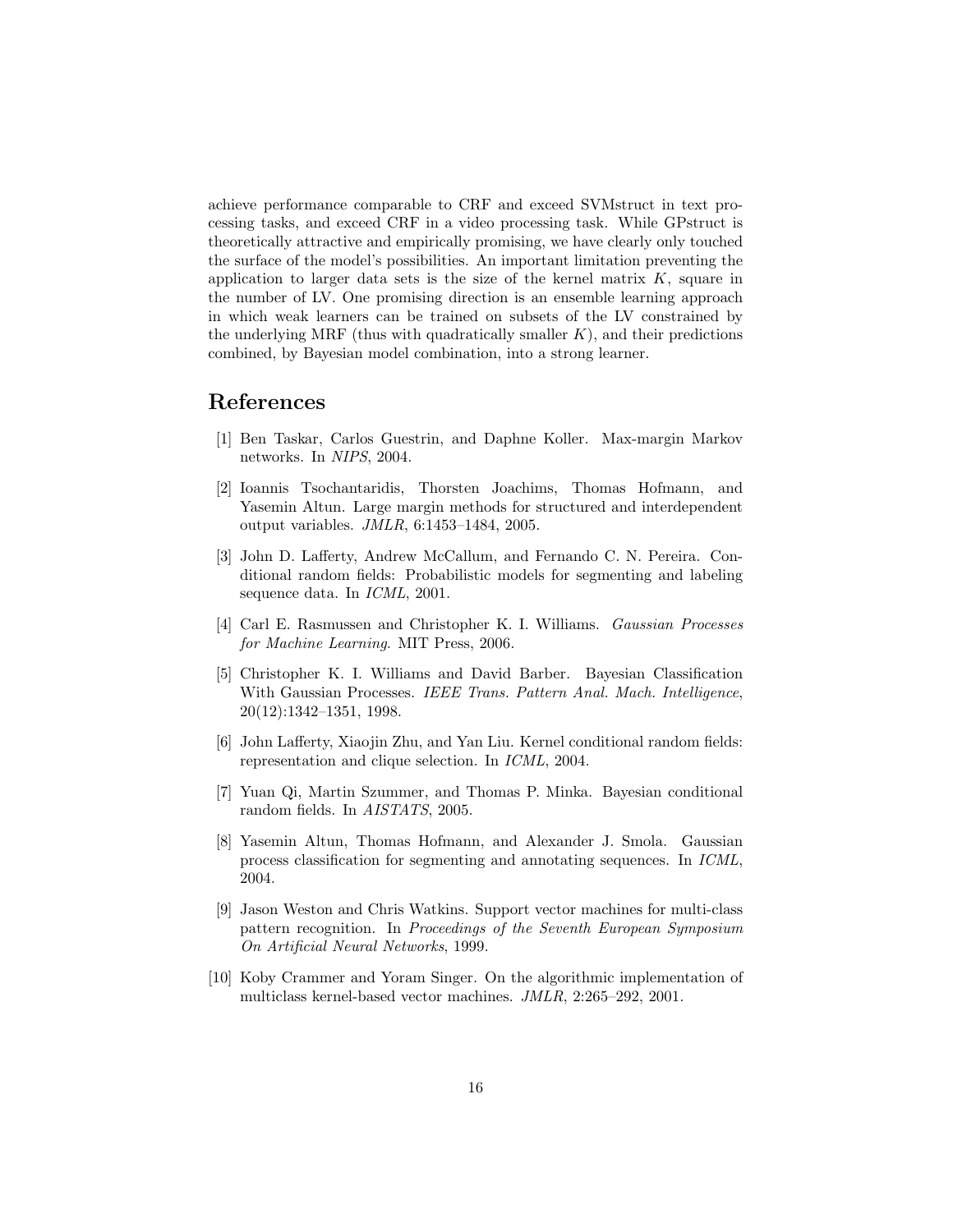achieve performance comparable to CRF and exceed SVMstruct in text processing tasks, and exceed CRF in a video processing task. While GPstruct is theoretically attractive and empirically promising, we have clearly only touched the surface of the model's possibilities. An important limitation preventing the application to larger data sets is the size of the kernel matrix  $K$ , square in the number of LV. One promising direction is an ensemble learning approach in which weak learners can be trained on subsets of the LV constrained by the underlying MRF (thus with quadratically smaller  $K$ ), and their predictions combined, by Bayesian model combination, into a strong learner.

### References

- <span id="page-15-0"></span>[1] Ben Taskar, Carlos Guestrin, and Daphne Koller. Max-margin Markov networks. In NIPS, 2004.
- <span id="page-15-1"></span>[2] Ioannis Tsochantaridis, Thorsten Joachims, Thomas Hofmann, and Yasemin Altun. Large margin methods for structured and interdependent output variables. JMLR, 6:1453–1484, 2005.
- <span id="page-15-2"></span>[3] John D. Lafferty, Andrew McCallum, and Fernando C. N. Pereira. Conditional random fields: Probabilistic models for segmenting and labeling sequence data. In ICML, 2001.
- <span id="page-15-3"></span>[4] Carl E. Rasmussen and Christopher K. I. Williams. Gaussian Processes for Machine Learning. MIT Press, 2006.
- <span id="page-15-4"></span>[5] Christopher K. I. Williams and David Barber. Bayesian Classification With Gaussian Processes. IEEE Trans. Pattern Anal. Mach. Intelligence, 20(12):1342–1351, 1998.
- <span id="page-15-5"></span>[6] John Lafferty, Xiaojin Zhu, and Yan Liu. Kernel conditional random fields: representation and clique selection. In ICML, 2004.
- <span id="page-15-6"></span>[7] Yuan Qi, Martin Szummer, and Thomas P. Minka. Bayesian conditional random fields. In AISTATS, 2005.
- <span id="page-15-7"></span>[8] Yasemin Altun, Thomas Hofmann, and Alexander J. Smola. Gaussian process classification for segmenting and annotating sequences. In ICML, 2004.
- <span id="page-15-8"></span>[9] Jason Weston and Chris Watkins. Support vector machines for multi-class pattern recognition. In Proceedings of the Seventh European Symposium On Artificial Neural Networks, 1999.
- <span id="page-15-9"></span>[10] Koby Crammer and Yoram Singer. On the algorithmic implementation of multiclass kernel-based vector machines. JMLR, 2:265–292, 2001.